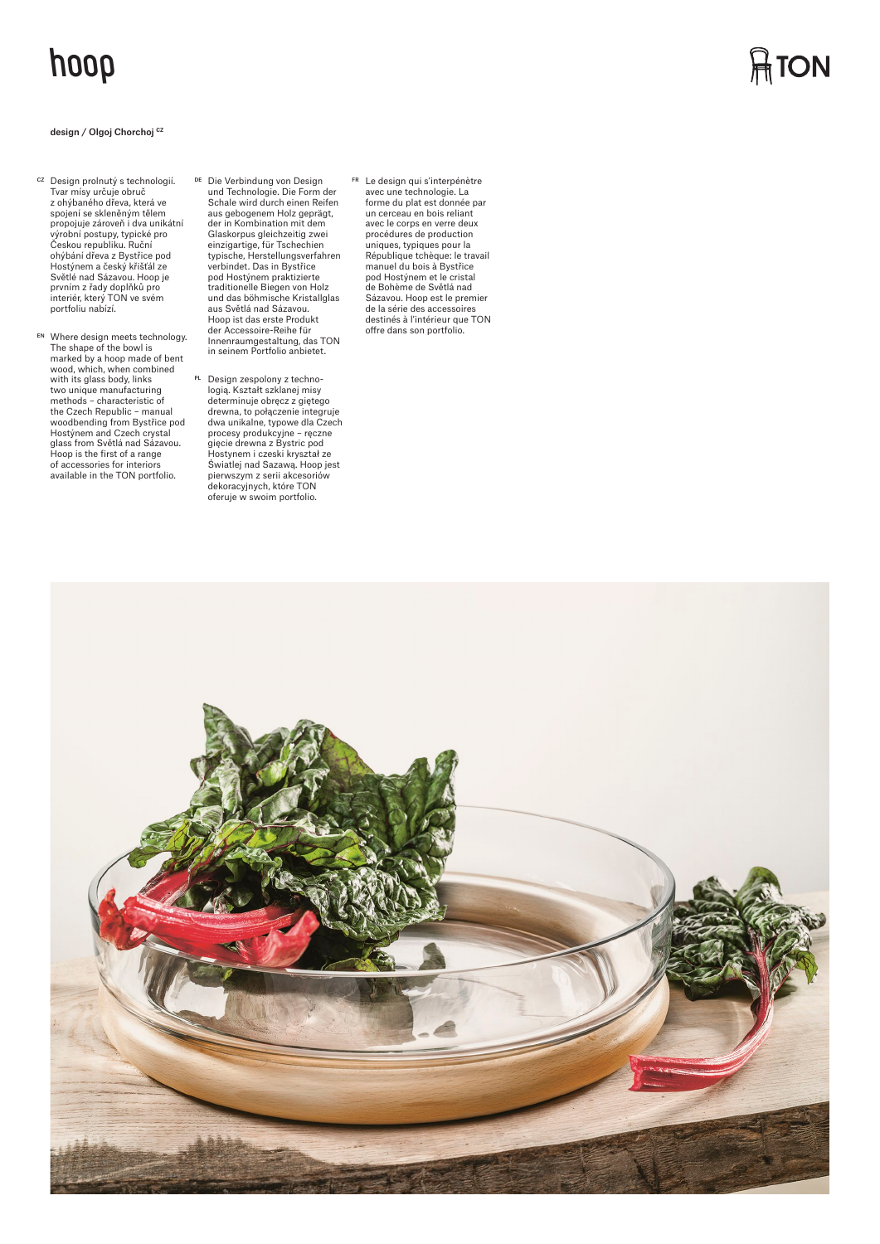## **hoop**

## design / Olgoj Chorchoj **CZ**

- <sup>cz</sup> Design prolnutý s technologií.<br>Tvar mísy určuje obruč z ohýbaného dřeva, která ve spojení se skleněným tělem propojuje zároveň i dva unikátní výrobní postupy, typické pro Českou republiku. Ruční ohýbání dřeva z Bystřice pod Hostýnem a český křišťál ze Světlé nad Sázavou. Hoop je prvním z řady doplňků pro<br>interiér, který TON ve svém portfoliu nabízí.
- EN Where design meets technology. The shape of the bowl is marked by a hoop made of bent wood, which, when combined with its glass body, links two unique manufacturing methods – characteristic of the Czech Republic – manual woodbending from Bystřice pod Hostýnem and Czech crystal glass from Světlá nad Sázavou. Hoop is the first of a range of accessories for interiors available in the TON portfolio.
- <sup>DE</sup> Die Verbindung von Design<br>und Technologie. Die Form der Schale wird durch einen Reifen aus gebogenem Holz geprägt, der in Kombination mit dem Glaskorpus gleichzeitig zwei einzigartige, für Tschechien typische, Herstellungsverfahren verbindet. Das in Bystřice pod Hostýnem praktizierte traditionelle Biegen von Holz und das böhmische Kristallglas aus Světlá nad Sázavou. Hoop ist das erste Produkt der Accessoire-Reihe für Innenraumgestaltung, das TON in seinem Portfolio anbietet.
- <sup>PL</sup> Design zespolony z techno-<br>logią. Kształt szklanej misy determinuje obręcz z giętego drewna, to połączenie integruje dwa unikalne, typowe dla Czech procesy produkcyjne – ręczne gięcie drewna z Bystric pod Hostynem i czeski kryształ ze Światlej nad Sazawą. Hoop jest pierwszym z serii akcesoriów dekoracyjnych, które TON oferuje w swoim portfolio.
- FR Le design qui s'interpénètre avec une technologie. La forme du plat est donnée par un cerceau en bois reliant avec le corps en verre deux procédures de production uniques, typiques pour la République tchèque: le travail manuel du bois à Bystřice pod Hostýnem et le cristal de Bohème de Světlá nad Sázavou. Hoop est le premier de la série des accessoires destinés à l'intérieur que TON offre dans son portfolio.



## $\bigcap_{i=1}^n$ TON